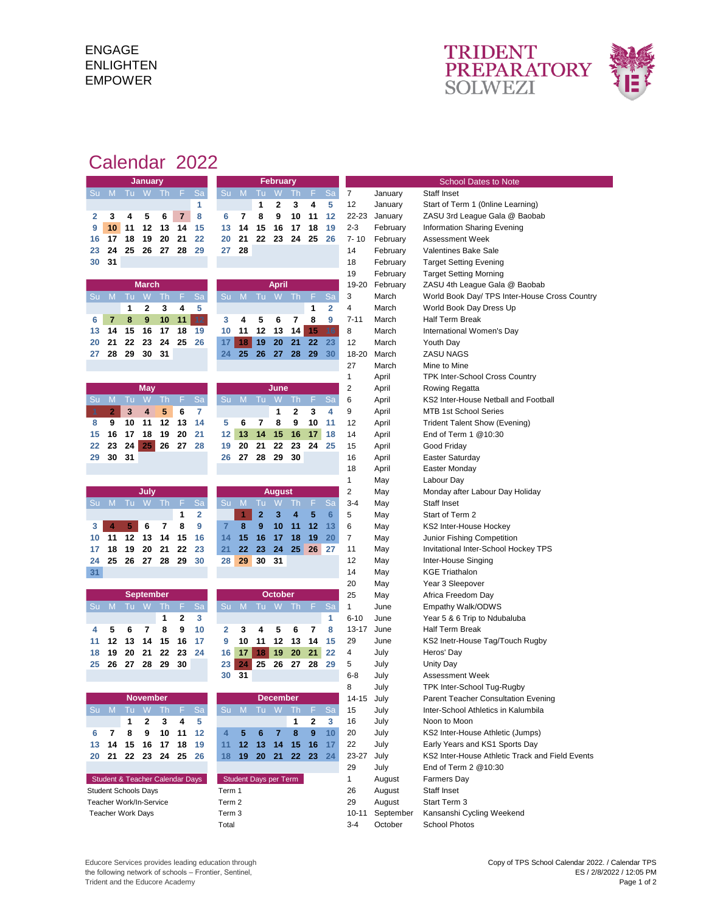## ENGAGE ENLIGHTEN EMPOWER



## Calendar 2022

| <b>January</b>                     |                                                                                                   |      |                 |                |                | <b>February</b> |                |                 |                |                 |                 |                      | <b>School Dates to Note</b> |                             |          |                                                                                   |
|------------------------------------|---------------------------------------------------------------------------------------------------|------|-----------------|----------------|----------------|-----------------|----------------|-----------------|----------------|-----------------|-----------------|----------------------|-----------------------------|-----------------------------|----------|-----------------------------------------------------------------------------------|
| Su                                 | M                                                                                                 | Tu.  | W               | Th.            | F.             | Sa              | Su             | M               | Tu             | W               | Th,             | F.                   | Sa                          | 7                           | January  | Staff Inset                                                                       |
|                                    |                                                                                                   |      |                 |                |                | 1               |                |                 | 1              | 2               | 3               | 4                    | 5                           | 12                          | January  | Start of Term 1 (Online Learning)                                                 |
| 2                                  | 3                                                                                                 | 4    | 5               | 6              | $\overline{7}$ | 8               | 6              | 7               | 8              | 9               | 10              | 11                   | 12                          | 22-23                       | January  | ZASU 3rd League Gala @ Baobab                                                     |
| 9                                  | 10                                                                                                | 11   | 12              | 13             | 14             | 15              | 13             | 14              | 15             | 16              | 17              | 18                   | 19                          | $2 - 3$                     | February | Information Sharing Evening                                                       |
| 16                                 | 17                                                                                                | 18   | 19              | 20             | 21             | 22              | 20             | 21              | 22             | 23              | 24              | 25                   | 26                          | $7 - 10$                    | February | <b>Assessment Week</b>                                                            |
| 23                                 | 24                                                                                                | 25   | 26              | 27             | 28             | 29              | 27             | 28              |                |                 |                 |                      |                             | 14                          | February | <b>Valentines Bake Sale</b>                                                       |
| 30                                 | 31                                                                                                |      |                 |                |                |                 |                |                 |                |                 |                 |                      |                             | 18                          | February | <b>Target Setting Evening</b>                                                     |
|                                    |                                                                                                   |      |                 |                |                |                 |                |                 |                |                 |                 |                      |                             | 19                          | February | <b>Target Setting Morning</b>                                                     |
|                                    |                                                                                                   |      | <b>March</b>    |                |                |                 |                |                 |                | <b>April</b>    |                 |                      |                             | 19-20                       | February | ZASU 4th League Gala @ Baobab                                                     |
| Su                                 | M                                                                                                 | Tu   | W               | Th.            | F.             | Sa              | Su             | <b>M</b>        | Tu             | W.              | Th.             | F.                   | Sa                          | 3                           | March    | World Book Day/ TPS Inter-House Cross Country                                     |
|                                    |                                                                                                   | 1    | 2               | 3              | 4              | 5               |                |                 |                |                 |                 | 1                    | 2                           | 4                           | March    | World Book Day Dress Up                                                           |
| 6                                  | $\overline{7}$                                                                                    | 8    | 9               | 10             | 11             | 12              | 3              | 4               | 5              | 6               | $\overline{7}$  | 8                    | 9                           | $7 - 11$                    | March    | <b>Half Term Break</b>                                                            |
| 13                                 | 14                                                                                                | 15   | 16              | 17             | 18             | 19              | 10             | 11              | 12             | 13              | 14              | 15                   | 16                          | 8                           | March    | International Women's Day                                                         |
| 20                                 | 21                                                                                                | 22   | 23              | 24             | 25             | 26              | 17             | 18              | 19             | 20              | 21              | 22                   | 23                          | 12                          | March    | Youth Day                                                                         |
| 27                                 | 28                                                                                                | 29   | 30              | 31             |                |                 | 24             | 25              | 26             | 27              | 28              | 29                   | 30                          | 18-20                       | March    | <b>ZASU NAGS</b>                                                                  |
|                                    |                                                                                                   |      |                 |                |                |                 |                |                 |                |                 |                 |                      |                             | 27                          | March    | Mine to Mine                                                                      |
|                                    |                                                                                                   |      |                 |                |                |                 |                |                 |                |                 |                 |                      |                             | 1                           | April    | TPK Inter-School Cross Country                                                    |
|                                    |                                                                                                   |      | <b>May</b>      |                |                |                 |                |                 |                | June            |                 |                      |                             | $\overline{2}$              | April    | Rowing Regatta                                                                    |
| Sul                                | M                                                                                                 | Tu   | W               | Th             | F.             | Sa              | Su             | M               | Tu W           |                 | Th.             | F.                   | Sa                          | 6                           | April    | KS2 Inter-House Netball and Football                                              |
|                                    | $\overline{2}$                                                                                    | 3    | 4               | 5              | 6              | 7               |                |                 |                | 1               | 2               | 3                    | 4                           | 9                           | April    | <b>MTB 1st School Series</b>                                                      |
| 8                                  | 9                                                                                                 | 10   | 11              | 12             | 13             | 14              | 5              | 6               | 7              | 8               | 9               | 10                   | 11                          | 12                          | April    | <b>Trident Talent Show (Evening)</b>                                              |
| 15                                 | 16                                                                                                | 17   | 18              | 19             | 20             | 21              | 12             | 13              | 14             | 15              | 16              | 17                   | 18                          | 14                          | April    | End of Term 1 @10:30                                                              |
| 22                                 | 23                                                                                                | 24   | 25              | 26             | 27             | 28              | 19             | 20              | 21             | 22              | 23              | 24                   | 25                          | 15                          | April    | Good Friday                                                                       |
| 29                                 | 30                                                                                                | 31   |                 |                |                |                 | 26             | 27              | 28             | 29              | 30              |                      |                             | 16                          | April    | Easter Saturday                                                                   |
|                                    |                                                                                                   |      |                 |                |                |                 |                |                 |                |                 |                 |                      |                             | 18                          | April    | Easter Monday                                                                     |
|                                    |                                                                                                   |      |                 |                |                |                 |                |                 |                |                 |                 |                      |                             | 1                           | May      | Labour Day                                                                        |
|                                    |                                                                                                   |      | July            |                |                |                 |                |                 |                | August          |                 |                      |                             | 2                           | May      | Monday after Labour Day Holiday                                                   |
| Su                                 | M                                                                                                 |      | Tu W            | Th             | -F.            | Sa              | Su M           |                 | Tu             | W               | Th              | F.                   | Sa                          | $3 - 4$                     | May      | <b>Staff Inset</b>                                                                |
|                                    |                                                                                                   |      |                 |                | 1              | 2               |                | 4               | $\overline{2}$ | 3               | 4               | 5                    | $6\phantom{1}$              | 5                           | May      | Start of Term 2                                                                   |
| 3                                  | 4                                                                                                 | 5    | 6               | $\overline{7}$ | 8              | 9               | $\overline{7}$ | 8               | 9              | 10              | 11              | 12                   | 13                          | 6                           | May      | KS2 Inter-House Hockey                                                            |
| 10                                 | 11                                                                                                | 12   | 13              | 14             | 15             | 16              | 14             | 15              | 16             | 17              | 18              | 19                   | 20                          | $\overline{7}$              | May      | Junior Fishing Competition                                                        |
| 17                                 | 18                                                                                                | 19   | 20              | 21             | 22             | 23              | 21             | 22              | 23             | 24              | 25              | 26                   | 27                          | 11                          | May      | Invitational Inter-School Hockey TPS                                              |
| 24                                 | 25                                                                                                | 26   | 27              | 28             | 29             | 30              | 28             | 29              | 30             | 31              |                 |                      |                             | 12                          | May      | Inter-House Singing                                                               |
| 31                                 |                                                                                                   |      |                 |                |                |                 |                |                 |                |                 |                 |                      |                             | 14                          | May      | <b>KGE Triathalon</b>                                                             |
|                                    |                                                                                                   |      |                 |                |                |                 |                |                 |                |                 |                 |                      |                             | 20                          | May      | Year 3 Sleepover                                                                  |
|                                    |                                                                                                   |      | September       |                |                |                 |                |                 |                | <b>October</b>  |                 |                      |                             | 25                          | May      | Africa Freedom Day                                                                |
|                                    | Su M                                                                                              | Tu W |                 | Th.            | F.             | Sa              | Su             | M               |                | Tu W Th         |                 | F.                   | Sa                          | $\mathbf{1}$                | June     | Empathy Walk/ODWS                                                                 |
|                                    |                                                                                                   |      |                 | 1              | 2              | 3               |                |                 |                |                 |                 |                      | 1                           | $6 - 10$                    | June     | Year 5 & 6 Trip to Ndubaluba                                                      |
| 4                                  | 5                                                                                                 | 6    | $\overline{7}$  | 8              | 9              | 10              | 2              | 3               | 4              | 5               | 6               | $\overline{7}$       | 8                           | $13 - 17$                   | June     | <b>Half Term Break</b>                                                            |
| 11                                 | 12                                                                                                | 13   | 14              | 15             | 16             | 17              | 9              | 10              | 11             | 12              | 13              | 14                   | 15                          | 29                          | June     | KS2 Inetr-House Tag/Touch Rugby                                                   |
| 18                                 | 19                                                                                                | 20   | 21              | 22<br>29       | 23             | 24              | 16             | 17              | 18             | 19              | 20              | 21                   | 22                          | 4                           | July     | Heros' Day                                                                        |
| 25                                 | 26                                                                                                | 27   | 28              |                | 30             |                 | 23             | 24              | 25             | 26              | 27              | 28                   | 29                          | 5                           | July     | Unity Day                                                                         |
|                                    |                                                                                                   |      |                 |                |                |                 | 30             | 31              |                |                 |                 |                      |                             | $6 - 8$                     | July     | Assessment Week                                                                   |
|                                    |                                                                                                   |      |                 |                |                |                 |                |                 |                |                 |                 |                      |                             | 8                           | July     | TPK Inter-School Tug-Rugby                                                        |
|                                    |                                                                                                   |      | <b>November</b> |                |                |                 |                | Su M            |                | <b>December</b> |                 |                      |                             | 14-15 July                  |          | Parent Teacher Consultation Evening                                               |
|                                    | Su M                                                                                              | Tu W |                 | Th.            | F              | Sa              |                |                 |                | Tu W            | -Th             | F.                   | Sa                          | 15                          | July     | Inter-School Athletics in Kalumbila                                               |
|                                    |                                                                                                   | 1    | 2               | 3              | 4              | 5               |                |                 |                |                 | 1               | 2                    | 3                           | 16                          | July     | Noon to Moon                                                                      |
| 6                                  | $\overline{\mathbf{r}}$                                                                           | 8    | 9               | 10             | 11             | 12              | 4              | 5               | 6              | 7               | 8               | 9                    | 10                          | 20                          | July     | KS2 Inter-House Athletic (Jumps)                                                  |
| 13                                 | 14                                                                                                | 15   | 16              | 17             | 18             | 19              | 11             | 12 <sub>1</sub> | 13             | 14              | 15              | 16                   | 17                          | 22                          | July     | Early Years and KS1 Sports Day<br>KS2 Inter-House Athletic Track and Field Events |
| 20                                 | 21                                                                                                |      | 22 23           | 24             | 25             | - 26            | 18             | $19-19$         | 20             | 21              | 22 <sub>2</sub> | 23                   | 24                          | 23-27                       | July     |                                                                                   |
| 29                                 |                                                                                                   |      |                 |                |                |                 |                |                 |                |                 | July            | End of Term 2 @10:30 |                             |                             |          |                                                                                   |
|                                    | Student & Teacher Calendar Days<br>Student Days per Term<br><b>Student Schools Days</b><br>Term 1 |      |                 |                |                |                 |                |                 |                |                 | $\mathbf{1}$    | August               | <b>Farmers Day</b>          |                             |          |                                                                                   |
|                                    | Term 2<br>Teacher Work/In-Service                                                                 |      |                 |                |                |                 |                |                 |                |                 |                 | 26<br>29             | August                      | Staff Inset<br>Start Term 3 |          |                                                                                   |
| Term 3<br><b>Teacher Work Days</b> |                                                                                                   |      |                 |                |                |                 |                |                 |                |                 | $10 - 11$       | August               |                             |                             |          |                                                                                   |
| Total                              |                                                                                                   |      |                 |                |                |                 |                |                 |                |                 |                 | September<br>October | Kansanshi Cycling Weekend   |                             |          |                                                                                   |
|                                    |                                                                                                   |      |                 |                |                |                 |                |                 |                |                 |                 |                      |                             | $3 - 4$                     |          | School Photos                                                                     |